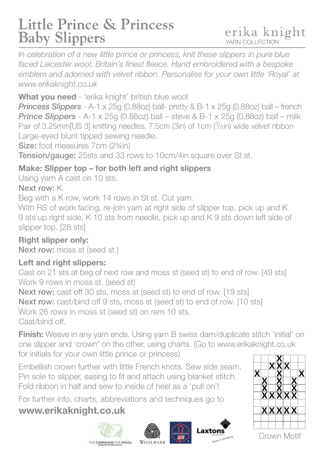## **Little Prince & Princess Baby Slippers**

*In celebration of a new little prince or princess, knit these slippers in pure blue*  faced Leicester wool, Britain's finest fleece. Hand embroidered with a bespoke *emblem and adorned with velvet ribbon. Personalise for your own little 'Royal' at www.erikaknight.co.uk*

**What you need** - 'erika knight' british blue wool

*Princess Slippers* - A-1 x 25g (0.88oz) ball- pretty & B-1 x 25g (0.88oz) ball – french *Prince Slippers* - A-1 x 25g (0.88oz) ball – steve & B-1 x 25g (0.88oz) ball – milk Pair of 3.25mm[US 3] knitting needles. 7.5cm (3in) of 1cm (3/8in) wide velvet ribbon Large-eyed blunt tipped sewing needle.

Size: foot measures 7cm (2¾in)

Tension/gauge: 25sts and 33 rows to 10cm/4in square over St st.

#### **Make: Slipper top – for both left and right slippers**

Using yarn A cast on 10 sts.

#### Next row: K.

Beg with a K row, work 14 rows in St st. Cut yarn.

With RS of work facing, re-join yarn at right side of slipper top, pick up and K 9 sts up right side, K 10 sts from needle, pick up and K 9 sts down left side of slipper top. [28 sts]

**Right slipper only:** Next row: moss st (seed st.)

#### **Left and right slippers:**

Cast on 21 sts at beg of next row and moss st (seed st) to end of row. [49 sts] Work 9 rows in moss st. (seed st)

Next row: cast off 30 sts, moss st (seed st) to end of row. [19 sts] Next row: cast/bind off 9 sts, moss st (seed st) to end of row. [10 sts] Work 26 rows in moss st (seed st) on rem 10 sts. Cast/bind off.

**Finish:** Weave in any yarn ends. Using yarn B swiss darn/duplicate stitch 'initial' on one slipper and 'crown' on the other, using charts. (Go to www.erikaknight.co.uk

for initials for your own little prince or princess)

Embellish crown further with little French knots. Sew side seam. Pin sole to slipper, easing to fit and attach using blanket stitch. Fold ribbon in half and sew to inside of heel as a 'pull on'!

For further info, charts, abbreviations and techniques go to

### **www.erikaknight.co.uk**









Crown Motif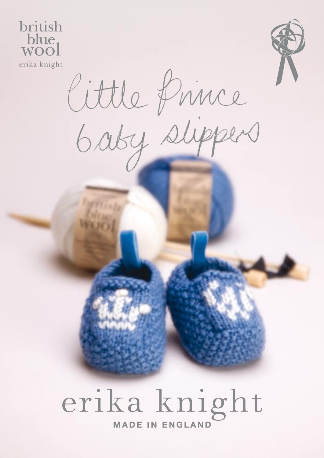



Cittle Prince

# erika knight **MADE IN ENGLAND**